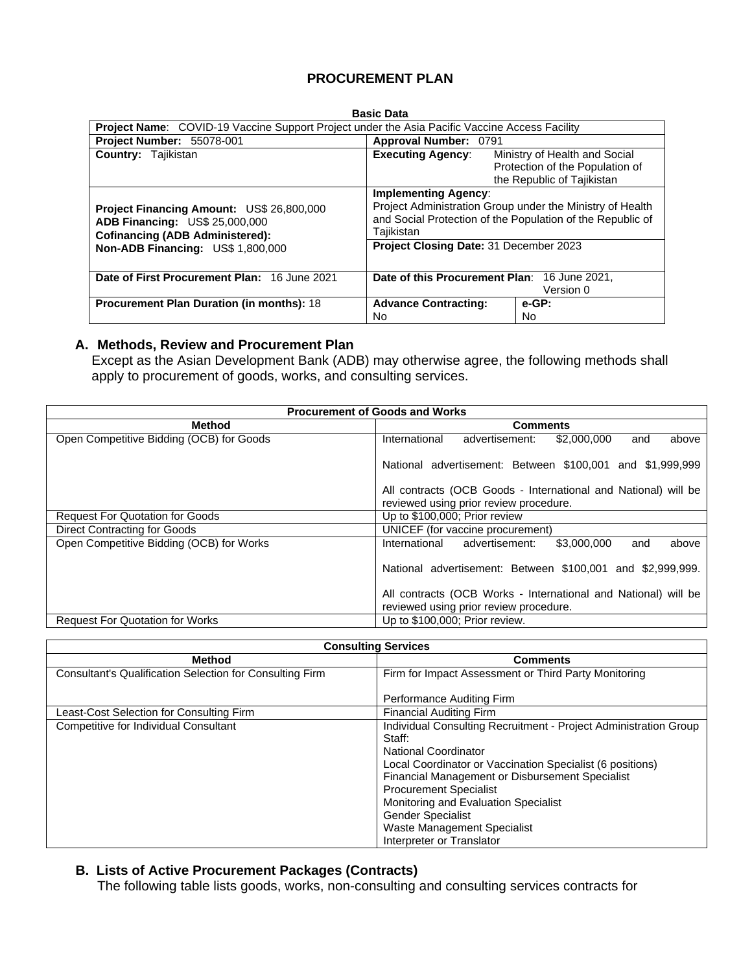## **PROCUREMENT PLAN**

#### **Basic Data Project Name**: COVID-19 Vaccine Support Project under the Asia Pacific Vaccine Access Facility<br>**Project Number:** 55078-001 **Approval Number:** 0791 **Project Number: 55078-001 Country:** Tajikistan **Executing Agency:** Ministry of Health and Social Protection of the Population of the Republic of Tajikistan **Project Financing Amount:** US\$ 26,800,000 **ADB Financing:** US\$ 25,000,000 **Cofinancing (ADB Administered): Non-ADB Financing:** US\$ 1,800,000 **Implementing Agency**: Project Administration Group under the Ministry of Health and Social Protection of the Population of the Republic of Tajikistan **Project Closing Date:** 31 December 2023 **Date of First Procurement Plan:** 16 June 2021 **Date of this Procurement Plan**: 16 June 2021, Version 0 **Procurement Plan Duration (in months): 18 Advance Contracting:**  No **e-GP:**  No

### **A. Methods, Review and Procurement Plan**

Except as the Asian Development Bank (ADB) may otherwise agree, the following methods shall apply to procurement of goods, works, and consulting services.

| <b>Procurement of Goods and Works</b>    |                                                                |  |  |  |  |  |  |  |  |
|------------------------------------------|----------------------------------------------------------------|--|--|--|--|--|--|--|--|
| <b>Method</b>                            | <b>Comments</b>                                                |  |  |  |  |  |  |  |  |
| Open Competitive Bidding (OCB) for Goods | International<br>advertisement:<br>\$2,000,000<br>above<br>and |  |  |  |  |  |  |  |  |
|                                          | National advertisement: Between \$100,001 and \$1,999,999      |  |  |  |  |  |  |  |  |
|                                          | All contracts (OCB Goods - International and National) will be |  |  |  |  |  |  |  |  |
|                                          | reviewed using prior review procedure.                         |  |  |  |  |  |  |  |  |
| <b>Request For Quotation for Goods</b>   | Up to \$100,000; Prior review                                  |  |  |  |  |  |  |  |  |
| Direct Contracting for Goods             | UNICEF (for vaccine procurement)                               |  |  |  |  |  |  |  |  |
| Open Competitive Bidding (OCB) for Works | International<br>advertisement:<br>\$3,000,000<br>above<br>and |  |  |  |  |  |  |  |  |
|                                          | National advertisement: Between \$100,001 and \$2,999,999.     |  |  |  |  |  |  |  |  |
|                                          | All contracts (OCB Works - International and National) will be |  |  |  |  |  |  |  |  |
|                                          | reviewed using prior review procedure.                         |  |  |  |  |  |  |  |  |
| <b>Request For Quotation for Works</b>   | Up to \$100,000; Prior review.                                 |  |  |  |  |  |  |  |  |

|                                                          | <b>Consulting Services</b>                                                                                                                                                                                                                                                                                                                                                          |
|----------------------------------------------------------|-------------------------------------------------------------------------------------------------------------------------------------------------------------------------------------------------------------------------------------------------------------------------------------------------------------------------------------------------------------------------------------|
| <b>Method</b>                                            | <b>Comments</b>                                                                                                                                                                                                                                                                                                                                                                     |
| Consultant's Qualification Selection for Consulting Firm | Firm for Impact Assessment or Third Party Monitoring                                                                                                                                                                                                                                                                                                                                |
|                                                          | Performance Auditing Firm                                                                                                                                                                                                                                                                                                                                                           |
| Least-Cost Selection for Consulting Firm                 | <b>Financial Auditing Firm</b>                                                                                                                                                                                                                                                                                                                                                      |
| <b>Competitive for Individual Consultant</b>             | Individual Consulting Recruitment - Project Administration Group<br>Staff:<br>National Coordinator<br>Local Coordinator or Vaccination Specialist (6 positions)<br>Financial Management or Disbursement Specialist<br><b>Procurement Specialist</b><br>Monitoring and Evaluation Specialist<br><b>Gender Specialist</b><br>Waste Management Specialist<br>Interpreter or Translator |

#### **B. Lists of Active Procurement Packages (Contracts)**

The following table lists goods, works, non-consulting and consulting services contracts for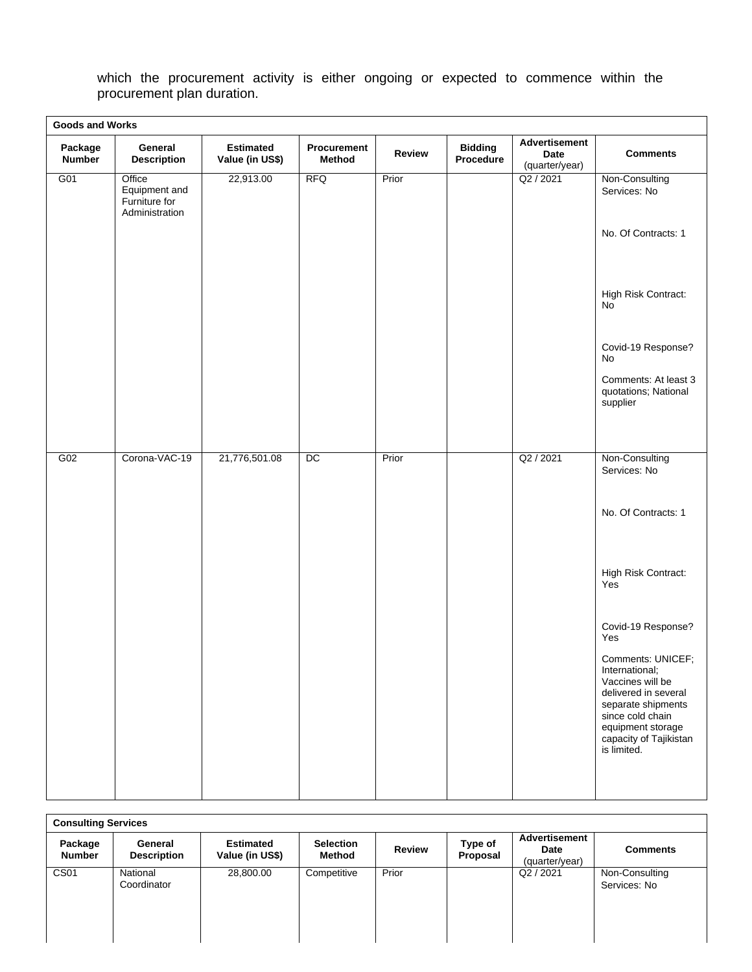which the procurement activity is either ongoing or expected to commence within the procurement plan duration.

|                          | <b>Goods and Works</b>                                     |                                     |                              |               |                             |                                         |                                                                                                                                                                                         |  |  |
|--------------------------|------------------------------------------------------------|-------------------------------------|------------------------------|---------------|-----------------------------|-----------------------------------------|-----------------------------------------------------------------------------------------------------------------------------------------------------------------------------------------|--|--|
| Package<br><b>Number</b> | General<br><b>Description</b>                              | <b>Estimated</b><br>Value (in US\$) | Procurement<br><b>Method</b> | <b>Review</b> | <b>Bidding</b><br>Procedure | Advertisement<br>Date<br>(quarter/year) | <b>Comments</b>                                                                                                                                                                         |  |  |
| G <sub>01</sub>          | Office<br>Equipment and<br>Furniture for<br>Administration | 22,913.00                           | <b>RFQ</b>                   | Prior         |                             | Q2 / 2021                               | Non-Consulting<br>Services: No                                                                                                                                                          |  |  |
|                          |                                                            |                                     |                              |               |                             |                                         | No. Of Contracts: 1                                                                                                                                                                     |  |  |
|                          |                                                            |                                     |                              |               |                             |                                         | High Risk Contract:<br>No                                                                                                                                                               |  |  |
|                          |                                                            |                                     |                              |               |                             |                                         | Covid-19 Response?<br>No                                                                                                                                                                |  |  |
|                          |                                                            |                                     |                              |               |                             |                                         | Comments: At least 3<br>quotations; National<br>supplier                                                                                                                                |  |  |
|                          |                                                            |                                     |                              |               |                             |                                         |                                                                                                                                                                                         |  |  |
| G02                      | Corona-VAC-19                                              | 21,776,501.08                       | DC                           | Prior         |                             | Q2 / 2021                               | Non-Consulting<br>Services: No                                                                                                                                                          |  |  |
|                          |                                                            |                                     |                              |               |                             |                                         | No. Of Contracts: 1                                                                                                                                                                     |  |  |
|                          |                                                            |                                     |                              |               |                             |                                         | High Risk Contract:<br>Yes                                                                                                                                                              |  |  |
|                          |                                                            |                                     |                              |               |                             |                                         | Covid-19 Response?<br>Yes                                                                                                                                                               |  |  |
|                          |                                                            |                                     |                              |               |                             |                                         | Comments: UNICEF;<br>International;<br>Vaccines will be<br>delivered in several<br>separate shipments<br>since cold chain<br>equipment storage<br>capacity of Tajikistan<br>is limited. |  |  |

| <b>Consulting Services</b> |                               |                                     |                            |               |                     |                                                |                                |  |
|----------------------------|-------------------------------|-------------------------------------|----------------------------|---------------|---------------------|------------------------------------------------|--------------------------------|--|
| Package<br><b>Number</b>   | General<br><b>Description</b> | <b>Estimated</b><br>Value (in US\$) | <b>Selection</b><br>Method | <b>Review</b> | Type of<br>Proposal | <b>Advertisement</b><br>Date<br>(quarter/year) | <b>Comments</b>                |  |
| CS <sub>01</sub>           | National<br>Coordinator       | 28,800.00                           | Competitive                | Prior         |                     | Q2 / 2021                                      | Non-Consulting<br>Services: No |  |

<u> 1980 - Johann Barn, mars an t-Amerikaansk politiker (</u>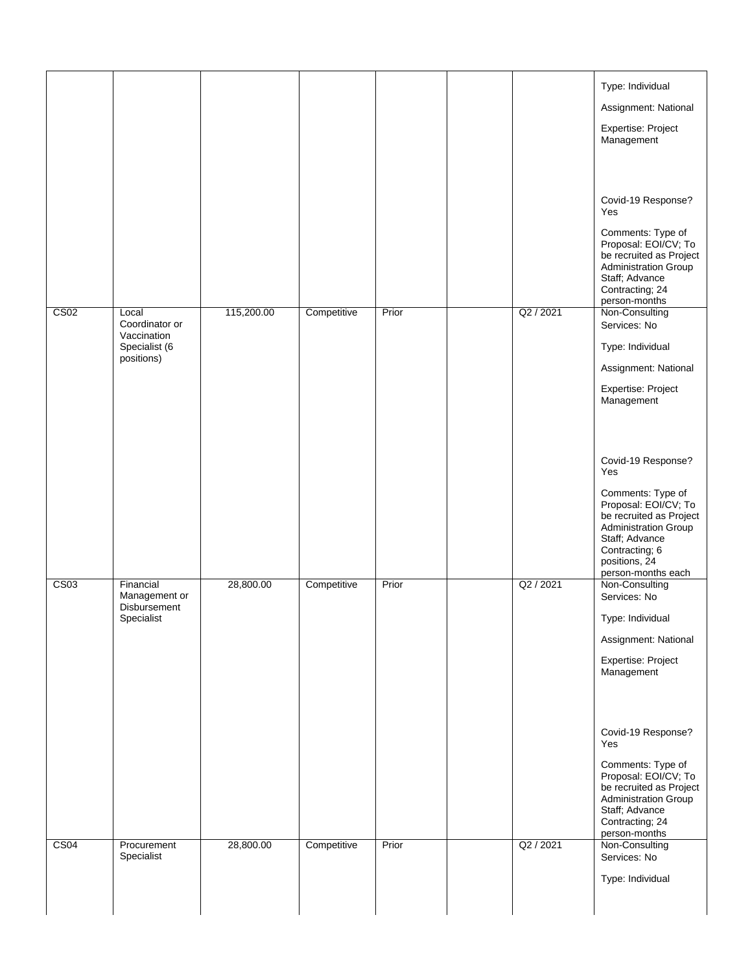|                  |                                                   |            |             |       |           | Type: Individual                                                                                                                                  |
|------------------|---------------------------------------------------|------------|-------------|-------|-----------|---------------------------------------------------------------------------------------------------------------------------------------------------|
|                  |                                                   |            |             |       |           | Assignment: National                                                                                                                              |
|                  |                                                   |            |             |       |           | Expertise: Project                                                                                                                                |
|                  |                                                   |            |             |       |           | Management                                                                                                                                        |
|                  |                                                   |            |             |       |           |                                                                                                                                                   |
|                  |                                                   |            |             |       |           | Covid-19 Response?<br>Yes                                                                                                                         |
|                  |                                                   |            |             |       |           | Comments: Type of<br>Proposal: EOI/CV; To<br>be recruited as Project<br>Administration Group<br>Staff; Advance                                    |
|                  |                                                   |            |             |       |           | Contracting; 24                                                                                                                                   |
| CS <sub>02</sub> | Local                                             | 115,200.00 | Competitive | Prior | Q2 / 2021 | person-months<br>Non-Consulting                                                                                                                   |
|                  | Coordinator or<br>Vaccination                     |            |             |       |           | Services: No                                                                                                                                      |
|                  | Specialist (6<br>positions)                       |            |             |       |           | Type: Individual                                                                                                                                  |
|                  |                                                   |            |             |       |           | Assignment: National                                                                                                                              |
|                  |                                                   |            |             |       |           | Expertise: Project<br>Management                                                                                                                  |
|                  |                                                   |            |             |       |           |                                                                                                                                                   |
|                  |                                                   |            |             |       |           | Covid-19 Response?<br>Yes                                                                                                                         |
|                  |                                                   |            |             |       |           | Comments: Type of<br>Proposal: EOI/CV; To<br>be recruited as Project<br>Administration Group<br>Staff; Advance<br>Contracting; 6<br>positions, 24 |
|                  |                                                   |            |             |       |           | person-months each                                                                                                                                |
| CS <sub>03</sub> | Financial<br>Management or<br><b>Disbursement</b> | 28,800.00  | Competitive | Prior | Q2 / 2021 | Non-Consulting<br>Services: No                                                                                                                    |
|                  | Specialist                                        |            |             |       |           | Type: Individual                                                                                                                                  |
|                  |                                                   |            |             |       |           | Assignment: National                                                                                                                              |
|                  |                                                   |            |             |       |           | Expertise: Project<br>Management                                                                                                                  |
|                  |                                                   |            |             |       |           |                                                                                                                                                   |
|                  |                                                   |            |             |       |           | Covid-19 Response?<br>Yes                                                                                                                         |
|                  |                                                   |            |             |       |           | Comments: Type of<br>Proposal: EOI/CV; To<br>be recruited as Project<br><b>Administration Group</b><br>Staff; Advance<br>Contracting; 24          |
| CS <sub>04</sub> | Procurement<br>Specialist                         | 28,800.00  | Competitive | Prior | Q2 / 2021 | person-months<br>Non-Consulting<br>Services: No                                                                                                   |
|                  |                                                   |            |             |       |           | Type: Individual                                                                                                                                  |
|                  |                                                   |            |             |       |           |                                                                                                                                                   |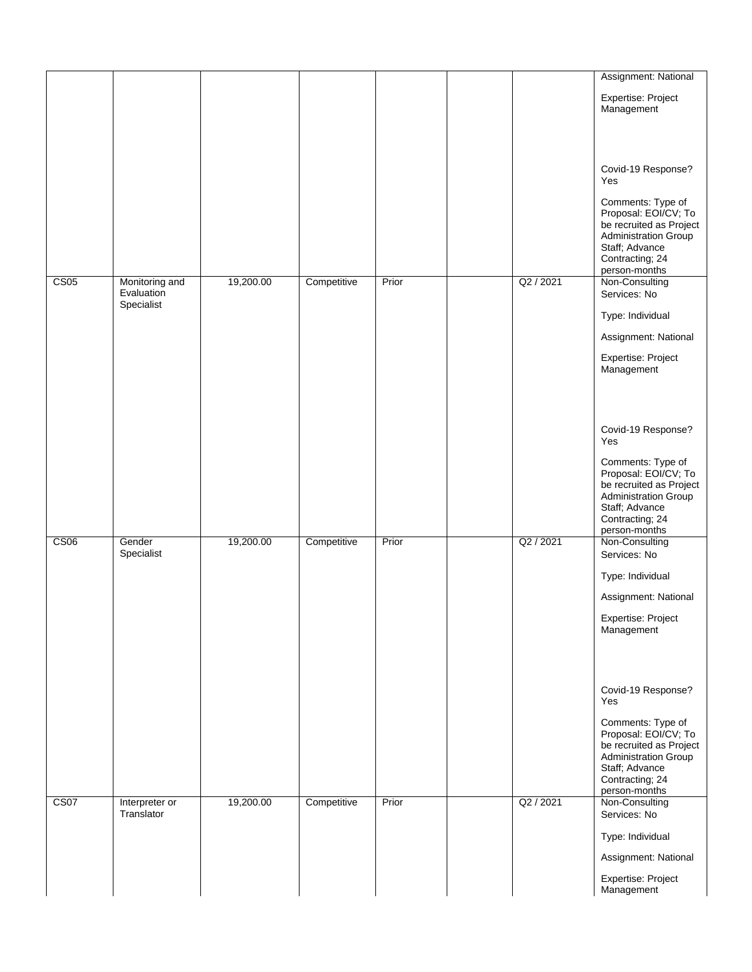|                  |                              |           |             |       |           | Assignment: National                                                                                                                                      |
|------------------|------------------------------|-----------|-------------|-------|-----------|-----------------------------------------------------------------------------------------------------------------------------------------------------------|
|                  |                              |           |             |       |           | Expertise: Project<br>Management                                                                                                                          |
|                  |                              |           |             |       |           |                                                                                                                                                           |
|                  |                              |           |             |       |           | Covid-19 Response?<br>Yes                                                                                                                                 |
|                  |                              |           |             |       |           | Comments: Type of<br>Proposal: EOI/CV; To<br>be recruited as Project<br><b>Administration Group</b><br>Staff; Advance<br>Contracting; 24<br>person-months |
| CS05             | Monitoring and<br>Evaluation | 19,200.00 | Competitive | Prior | Q2 / 2021 | Non-Consulting<br>Services: No                                                                                                                            |
|                  | Specialist                   |           |             |       |           | Type: Individual                                                                                                                                          |
|                  |                              |           |             |       |           | Assignment: National                                                                                                                                      |
|                  |                              |           |             |       |           | Expertise: Project                                                                                                                                        |
|                  |                              |           |             |       |           | Management                                                                                                                                                |
|                  |                              |           |             |       |           |                                                                                                                                                           |
|                  |                              |           |             |       |           |                                                                                                                                                           |
|                  |                              |           |             |       |           | Covid-19 Response?<br>Yes                                                                                                                                 |
|                  |                              |           |             |       |           | Comments: Type of<br>Proposal: EOI/CV; To<br>be recruited as Project<br><b>Administration Group</b><br>Staff; Advance<br>Contracting; 24                  |
| <b>CS06</b>      | Gender                       | 19,200.00 | Competitive | Prior | Q2 / 2021 | person-months<br>Non-Consulting                                                                                                                           |
|                  | Specialist                   |           |             |       |           | Services: No                                                                                                                                              |
|                  |                              |           |             |       |           | Type: Individual                                                                                                                                          |
|                  |                              |           |             |       |           | Assignment: National<br>Expertise: Project<br>Management                                                                                                  |
|                  |                              |           |             |       |           |                                                                                                                                                           |
|                  |                              |           |             |       |           | Covid-19 Response?<br>Yes                                                                                                                                 |
|                  |                              |           |             |       |           | Comments: Type of<br>Proposal: EOI/CV; To<br>be recruited as Project<br><b>Administration Group</b><br>Staff; Advance<br>Contracting; 24<br>person-months |
| CS <sub>07</sub> | Interpreter or<br>Translator | 19,200.00 | Competitive | Prior | Q2 / 2021 | Non-Consulting<br>Services: No                                                                                                                            |
|                  |                              |           |             |       |           | Type: Individual                                                                                                                                          |
|                  |                              |           |             |       |           | Assignment: National                                                                                                                                      |
|                  |                              |           |             |       |           | Expertise: Project                                                                                                                                        |
|                  |                              |           |             |       |           | Management                                                                                                                                                |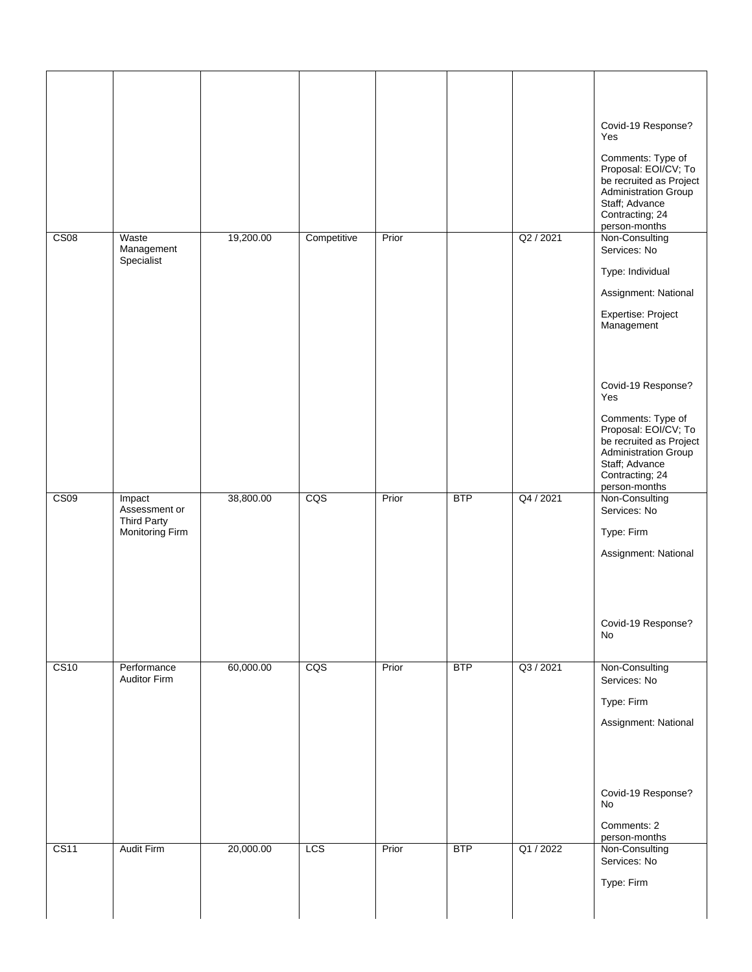|                  |                                                        |           |             |       |            |           | Covid-19 Response?<br>Yes<br>Comments: Type of<br>Proposal: EOI/CV; To<br>be recruited as Project<br>Administration Group<br>Staff; Advance<br>Contracting; 24<br>person-months                   |
|------------------|--------------------------------------------------------|-----------|-------------|-------|------------|-----------|---------------------------------------------------------------------------------------------------------------------------------------------------------------------------------------------------|
| CS <sub>08</sub> | Waste<br>Management<br>Specialist                      | 19,200.00 | Competitive | Prior |            | Q2 / 2021 | Non-Consulting<br>Services: No<br>Type: Individual<br>Assignment: National<br>Expertise: Project<br>Management                                                                                    |
| CS09             | Impact                                                 | 38,800.00 | CQS         | Prior | <b>BTP</b> | Q4 / 2021 | Covid-19 Response?<br>Yes<br>Comments: Type of<br>Proposal: EOI/CV; To<br>be recruited as Project<br>Administration Group<br>Staff; Advance<br>Contracting; 24<br>person-months<br>Non-Consulting |
|                  | Assessment or<br><b>Third Party</b><br>Monitoring Firm |           |             |       |            |           | Services: No<br>Type: Firm<br>Assignment: National<br>Covid-19 Response?                                                                                                                          |
|                  |                                                        |           |             |       |            |           | No                                                                                                                                                                                                |
| CS <sub>10</sub> | Performance<br>Auditor Firm                            | 60,000.00 | CQS         | Prior | <b>BTP</b> | Q3 / 2021 | Non-Consulting<br>Services: No<br>Type: Firm<br>Assignment: National                                                                                                                              |
|                  |                                                        |           |             |       |            |           | Covid-19 Response?<br>No<br>Comments: 2<br>person-months                                                                                                                                          |
| CS <sub>11</sub> | <b>Audit Firm</b>                                      | 20,000.00 | LCS         | Prior | <b>BTP</b> | Q1 / 2022 | Non-Consulting<br>Services: No<br>Type: Firm                                                                                                                                                      |